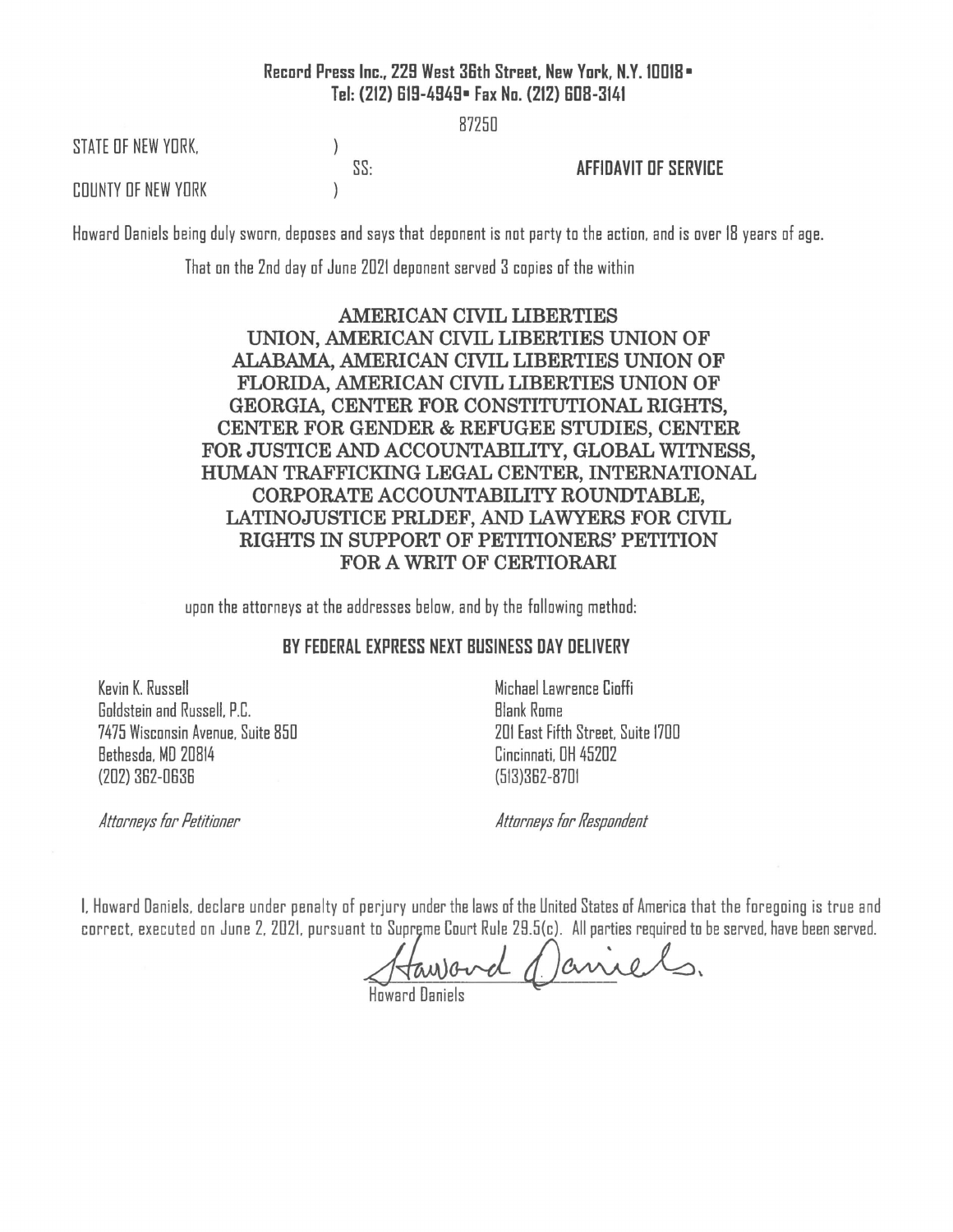## **Record Press Inc., 229 West 36th Street, New York, N.Y. 10018• Tel: (212) 619-4949• Fax No. (212) 608-3141**

87250

STATE OF NEW YORK.

 $\mathcal{L}$ 

 $\mathcal{E}$ 

SS: **AFFIDAVIT OF SERVICE** 

COUNTY OF NEW YORK

Howard Daniels being duly sworn, deposes and says that deponent is not party to the action, and is over 18 years of age.

That on the 2nd day of June 2021 deponent served 3 copies of the within

## **AMERICAN CIVIL LIBERTIES UNION, AMERICAN CIVIL LIBERTIES UNION OF ALABAMA, AMERICAN CIVIL LIBERTIES UNION OF FLORIDA, AMERICAN CIVIL LIBERTIES UNION OF GEORGIA, CENTER FOR CONSTITUTIONAL RIGHTS, CENTER FOR GENDER** & **REFUGEE STUDIES, CENTER FOR JUSTICE AND ACCOUNTABILITY, GLOBAL WITNESS, HUMAN TRAFFICKING LEGAL CENTER, INTERNATIONAL CORPORATE ACCOUNTABILITY ROUNDTABLE, LATINOJUSTICE PRLDEF, AND LAWYERS FOR CIVIL RIGHTS IN SUPPORT OF PETITIONERS' PETITION FOR A WRIT OF CERTIORARI**

upon the attorneys at the addresses below, and by the following method:

## **BY FEDERAL EXPRESS NEXT BUSINESS DAY DELIVERY**

Kevin K. Russell Goldstein and Russell. P.C. 7475 Wisconsin Avenue. Suite 850 Bethesda. MD 20814 (202) 382-0636

Michael Lawrence Cioffi **Blank Rome** 201 East Fifth Street. Suite 1700 Cincinnati. DH 45202 (513)362-8701

*Attorneys for Petitioner* 

*Attorneys for Respondent* 

I. Howard Daniels, declare under penalty of perjury under the laws of the United States of America that the foregoing is true and correct, executed on June 2, 2021, pursuant to Supreme Court Rule 29.5(c). All parties required to be served, have been served.

 $t$ awovd () ane

Haward Daniels